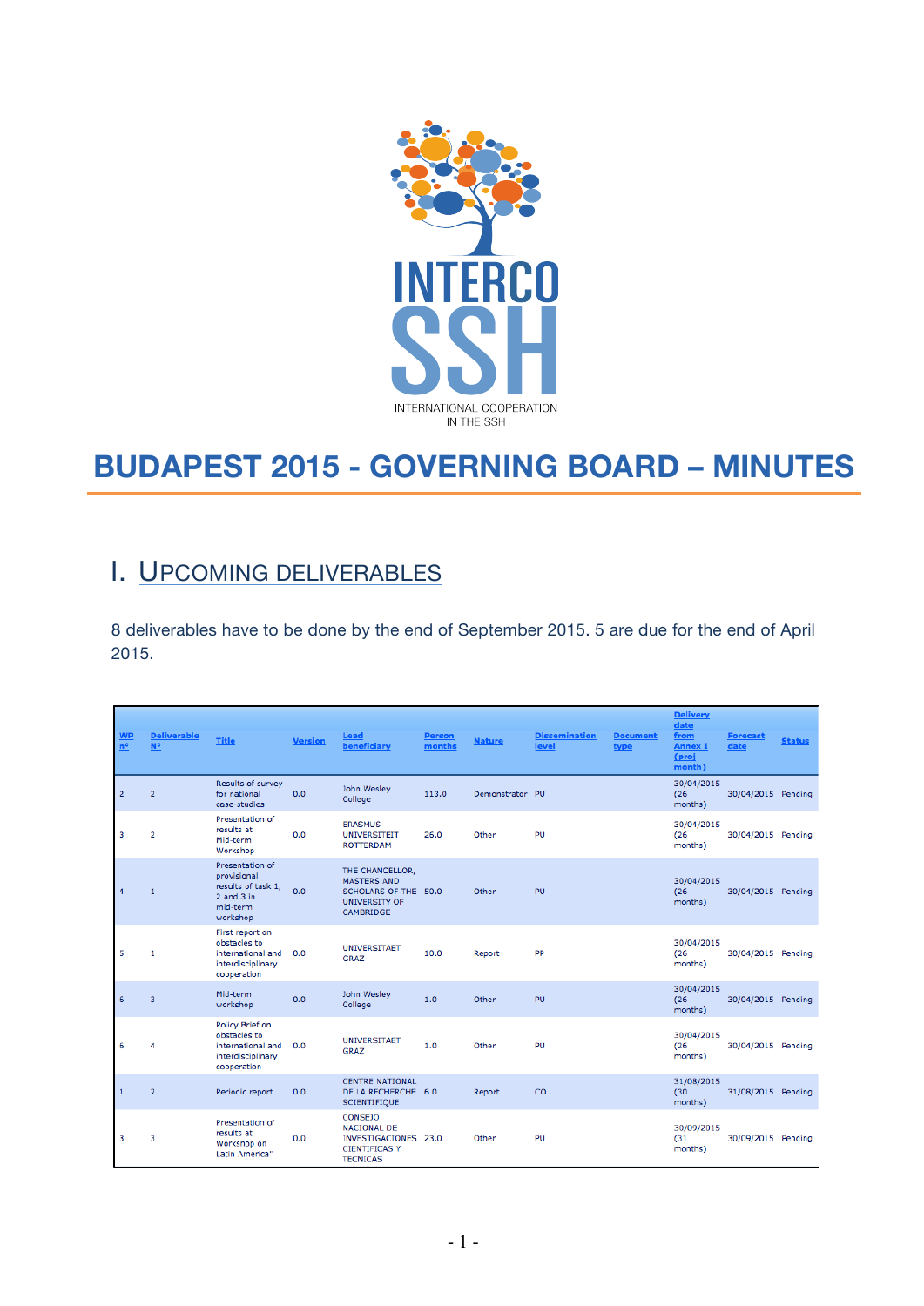

# **BUDAPEST 2015 - GOVERNING BOARD – MINUTES**

# I. UPCOMING DELIVERABLES

8 deliverables have to be done by the end of September 2015. 5 are due for the end of April 2015.

| <b>WP</b><br>$n^o$ | <b>Deliverable</b><br>$N^{\circ}$ | <b>Title</b>                                                                                   | <b>Version</b> | Lead<br>beneficiary                                                                                     | Person<br>months | <b>Nature</b>   | <b>Dissemination</b><br>level | <b>Document</b><br>type | <b>Delivery</b><br>date<br>from<br><b>Annex I</b><br>(proj<br>month) | <b>Forecast</b><br>date | <b>Status</b> |
|--------------------|-----------------------------------|------------------------------------------------------------------------------------------------|----------------|---------------------------------------------------------------------------------------------------------|------------------|-----------------|-------------------------------|-------------------------|----------------------------------------------------------------------|-------------------------|---------------|
| $\overline{2}$     | $\overline{2}$                    | Results of survey<br>for national<br>case-studies                                              | 0.0            | John Wesley<br>College                                                                                  | 113.0            | Demonstrator PU |                               |                         | 30/04/2015<br>(26)<br>months)                                        | 30/04/2015 Pending      |               |
| 3                  | $\overline{2}$                    | Presentation of<br>results at<br>Mid-term<br>Workshop                                          | 0.0            | <b>ERASMUS</b><br><b>UNIVERSITEIT</b><br><b>ROTTERDAM</b>                                               | 26.0             | Other           | PU                            |                         | 30/04/2015<br>(26)<br>months)                                        | 30/04/2015 Pending      |               |
| 4                  | $\overline{1}$                    | Presentation of<br>provisional<br>results of task 1,<br>$2$ and $3$ in<br>mid-term<br>workshop | 0.0            | THE CHANCELLOR,<br><b>MASTERS AND</b><br>SCHOLARS OF THE 50.0<br><b>UNIVERSITY OF</b><br>CAMBRIDGE      |                  | Other           | PU                            |                         | 30/04/2015<br>(26)<br>months)                                        | 30/04/2015              | Pending       |
| 5                  | 1                                 | First report on<br>obstacles to<br>international and<br>interdisciplinary<br>cooperation       | 0.0            | <b>UNIVERSITAET</b><br><b>GRAZ</b>                                                                      | 10.0             | Report          | PP                            |                         | 30/04/2015<br>(26)<br>months)                                        | 30/04/2015 Pending      |               |
| 6                  | $\overline{\mathbf{3}}$           | Mid-term<br>workshop                                                                           | 0.0            | John Wesley<br>College                                                                                  | 1.0              | Other           | PU                            |                         | 30/04/2015<br>(26)<br>months)                                        | 30/04/2015 Pending      |               |
| 6                  | 4                                 | Policy Brief on<br>obstacles to<br>international and<br>interdisciplinary<br>cooperation       | 0.0            | <b>UNIVERSITAET</b><br><b>GRAZ</b>                                                                      | 1.0              | Other           | PU                            |                         | 30/04/2015<br>(26)<br>months)                                        | 30/04/2015 Pending      |               |
| $\mathbf{1}$       | $\overline{2}$                    | Periodic report                                                                                | 0.0            | <b>CENTRE NATIONAL</b><br>DE LA RECHERCHE 6.0<br><b>SCIENTIFIQUE</b>                                    |                  | Report          | CO                            |                         | 31/08/2015<br>(30)<br>months)                                        | 31/08/2015 Pending      |               |
| 3                  | 3                                 | Presentation of<br>results at<br>Workshop on<br>Latin America"                                 | 0.0            | <b>CONSEJO</b><br><b>NACIONAL DE</b><br>INVESTIGACIONES 23.0<br><b>CIENTIFICAS Y</b><br><b>TECNICAS</b> |                  | Other           | PU                            |                         | 30/09/2015<br>(31)<br>months)                                        | 30/09/2015 Pending      |               |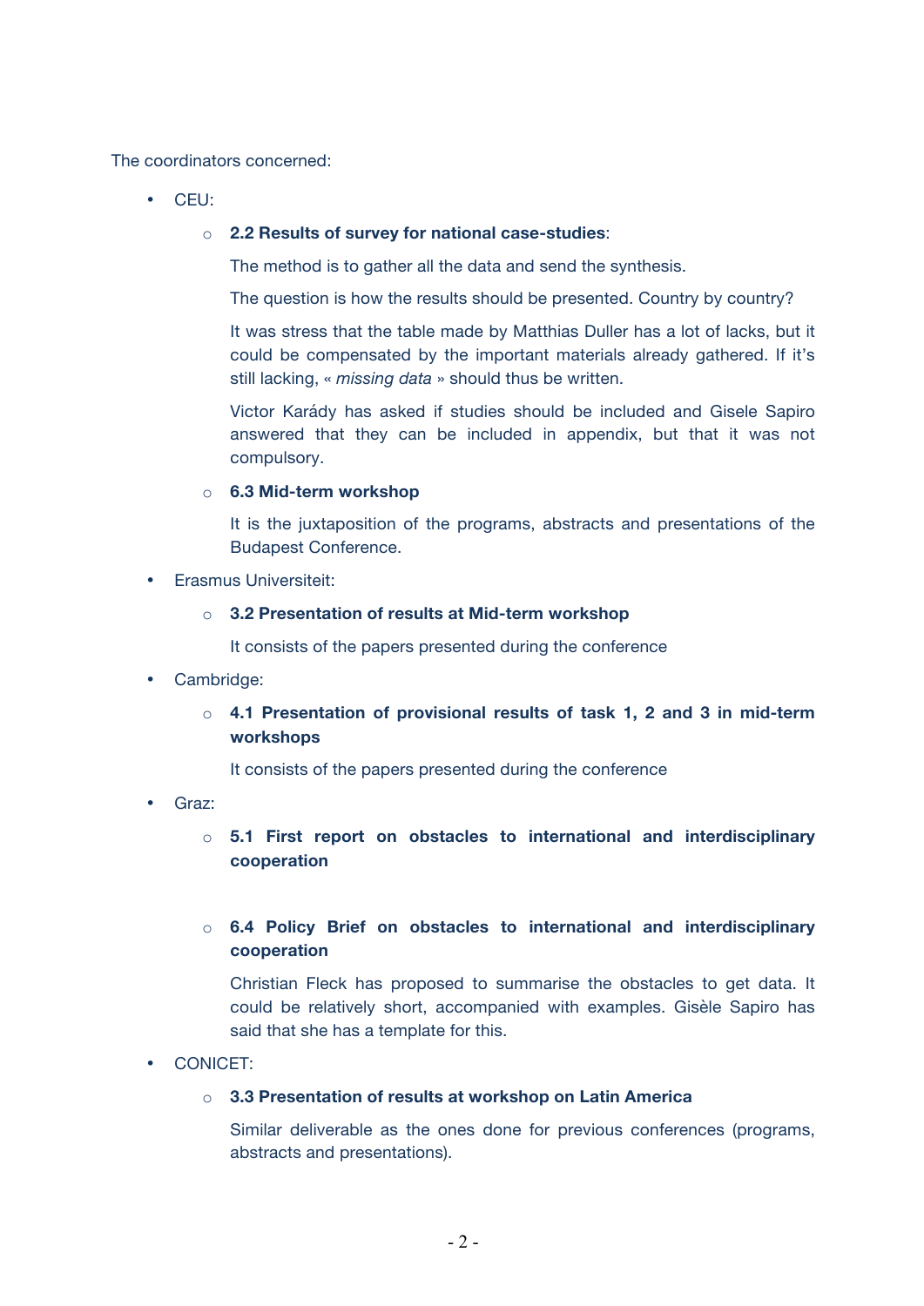The coordinators concerned:

• CEU:

#### o **2.2 Results of survey for national case-studies**:

The method is to gather all the data and send the synthesis.

The question is how the results should be presented. Country by country?

It was stress that the table made by Matthias Duller has a lot of lacks, but it could be compensated by the important materials already gathered. If it's still lacking, « *missing data* » should thus be written.

Victor Karády has asked if studies should be included and Gisele Sapiro answered that they can be included in appendix, but that it was not compulsory.

### o **6.3 Mid-term workshop**

It is the juxtaposition of the programs, abstracts and presentations of the Budapest Conference.

### • Erasmus Universiteit:

### o **3.2 Presentation of results at Mid-term workshop**

It consists of the papers presented during the conference

- Cambridge:
	- o **4.1 Presentation of provisional results of task 1, 2 and 3 in mid-term workshops**

It consists of the papers presented during the conference

- Graz:
	- o **5.1 First report on obstacles to international and interdisciplinary cooperation**

### o **6.4 Policy Brief on obstacles to international and interdisciplinary cooperation**

Christian Fleck has proposed to summarise the obstacles to get data. It could be relatively short, accompanied with examples. Gisèle Sapiro has said that she has a template for this.

• CONICET:

### o **3.3 Presentation of results at workshop on Latin America**

Similar deliverable as the ones done for previous conferences (programs, abstracts and presentations).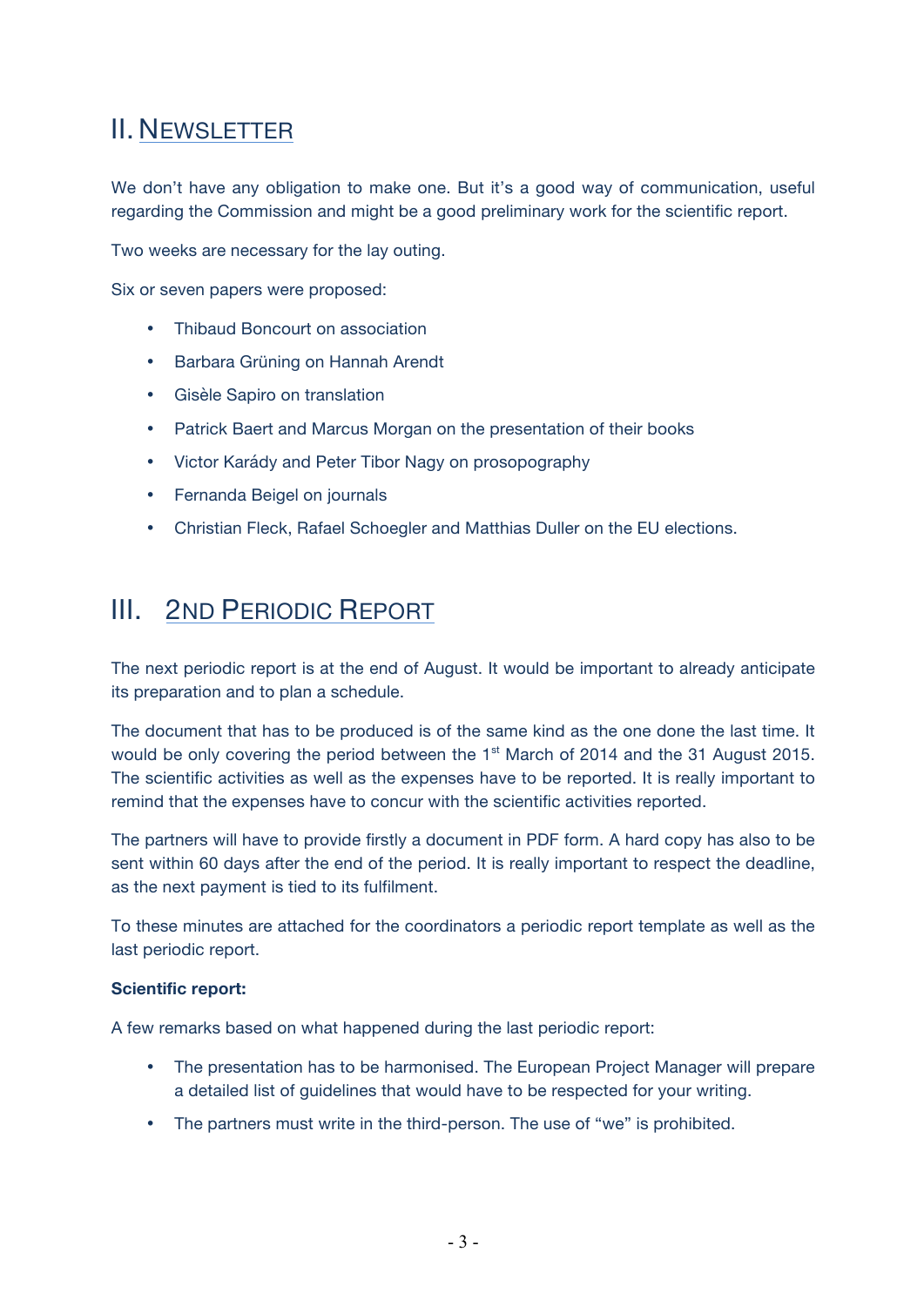# II. NEWSLETTER

We don't have any obligation to make one. But it's a good way of communication, useful regarding the Commission and might be a good preliminary work for the scientific report.

Two weeks are necessary for the lay outing.

Six or seven papers were proposed:

- Thibaud Boncourt on association
- Barbara Grüning on Hannah Arendt
- Gisèle Sapiro on translation
- Patrick Baert and Marcus Morgan on the presentation of their books
- Victor Karády and Peter Tibor Nagy on prosopography
- Fernanda Beigel on journals
- Christian Fleck, Rafael Schoegler and Matthias Duller on the EU elections.

### III. 2ND PERIODIC REPORT

The next periodic report is at the end of August. It would be important to already anticipate its preparation and to plan a schedule.

The document that has to be produced is of the same kind as the one done the last time. It would be only covering the period between the 1<sup>st</sup> March of 2014 and the 31 August 2015. The scientific activities as well as the expenses have to be reported. It is really important to remind that the expenses have to concur with the scientific activities reported.

The partners will have to provide firstly a document in PDF form. A hard copy has also to be sent within 60 days after the end of the period. It is really important to respect the deadline, as the next payment is tied to its fulfilment.

To these minutes are attached for the coordinators a periodic report template as well as the last periodic report.

### **Scientific report:**

A few remarks based on what happened during the last periodic report:

- The presentation has to be harmonised. The European Project Manager will prepare a detailed list of guidelines that would have to be respected for your writing.
- The partners must write in the third-person. The use of "we" is prohibited.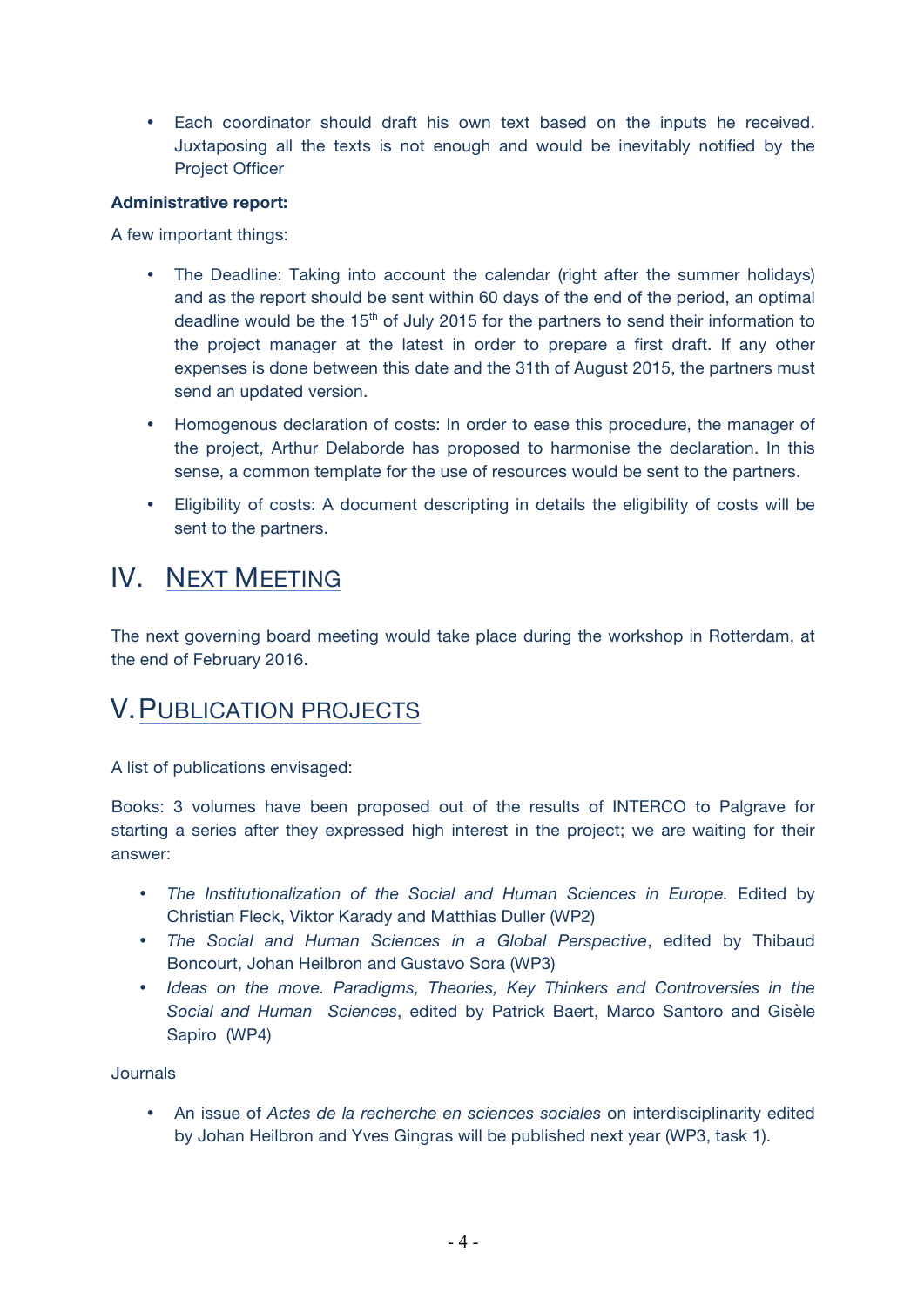• Each coordinator should draft his own text based on the inputs he received. Juxtaposing all the texts is not enough and would be inevitably notified by the Project Officer

### **Administrative report:**

A few important things:

- The Deadline: Taking into account the calendar (right after the summer holidays) and as the report should be sent within 60 days of the end of the period, an optimal deadline would be the  $15<sup>th</sup>$  of July 2015 for the partners to send their information to the project manager at the latest in order to prepare a first draft. If any other expenses is done between this date and the 31th of August 2015, the partners must send an updated version.
- Homogenous declaration of costs: In order to ease this procedure, the manager of the project, Arthur Delaborde has proposed to harmonise the declaration. In this sense, a common template for the use of resources would be sent to the partners.
- Eligibility of costs: A document descripting in details the eligibility of costs will be sent to the partners.

# IV. NEXT MEETING

The next governing board meeting would take place during the workshop in Rotterdam, at the end of February 2016.

### V.PUBLICATION PROJECTS

A list of publications envisaged:

Books: 3 volumes have been proposed out of the results of INTERCO to Palgrave for starting a series after they expressed high interest in the project; we are waiting for their answer:

- The Institutionalization of the Social and Human Sciences in Europe. Edited by Christian Fleck, Viktor Karady and Matthias Duller (WP2)
- *The Social and Human Sciences in a Global Perspective*, edited by Thibaud Boncourt, Johan Heilbron and Gustavo Sora (WP3)
- *Ideas on the move. Paradigms, Theories, Key Thinkers and Controversies in the Social and Human Sciences*, edited by Patrick Baert, Marco Santoro and Gisèle Sapiro (WP4)

Journals

• An issue of *Actes de la recherche en sciences sociales* on interdisciplinarity edited by Johan Heilbron and Yves Gingras will be published next year (WP3, task 1).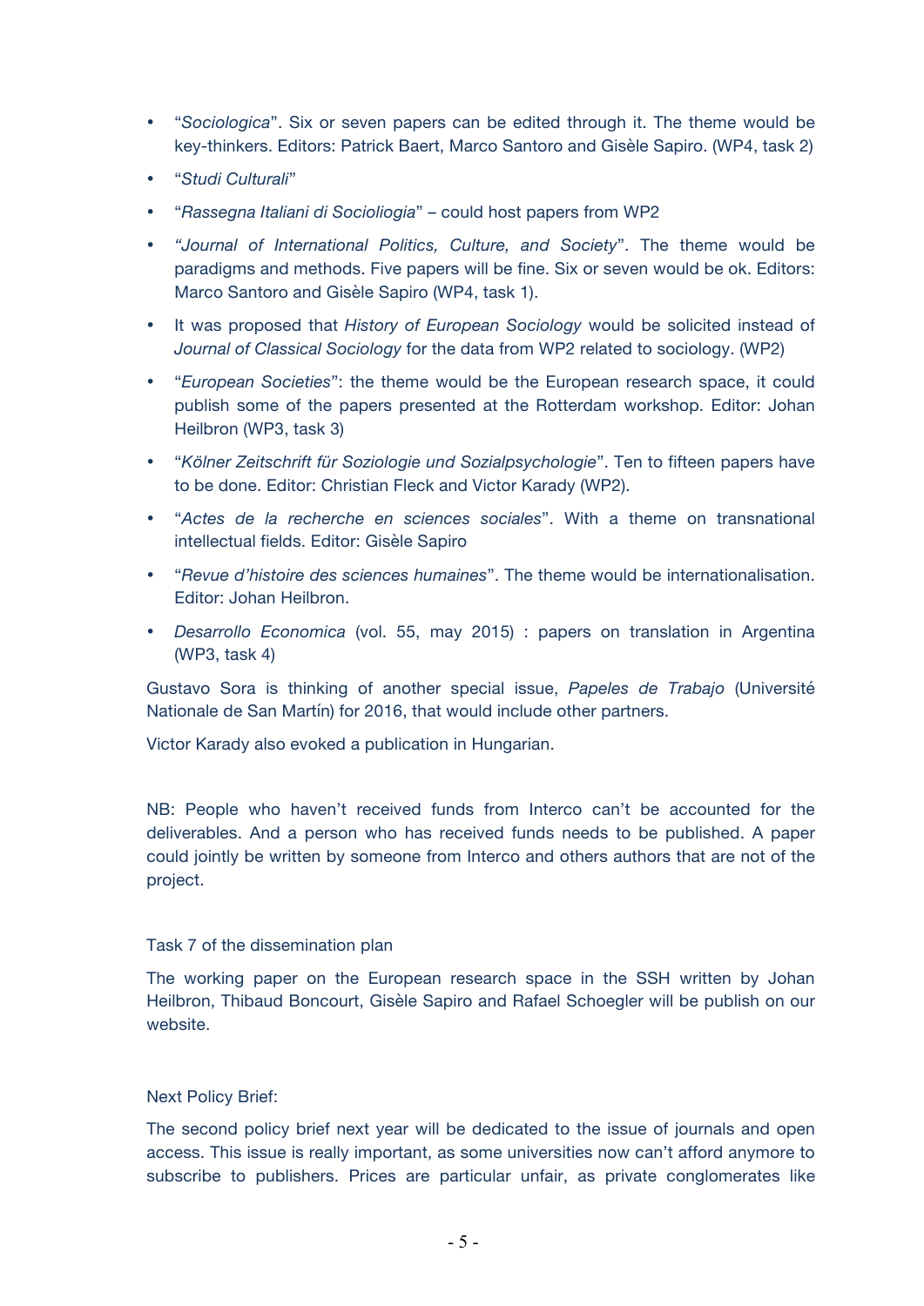- "*Sociologica*". Six or seven papers can be edited through it. The theme would be key-thinkers. Editors: Patrick Baert, Marco Santoro and Gisèle Sapiro. (WP4, task 2)
- "*Studi Culturali*"
- "*Rassegna Italiani di Socioliogia*" could host papers from WP2
- *"Journal of International Politics, Culture, and Society*". The theme would be paradigms and methods. Five papers will be fine. Six or seven would be ok. Editors: Marco Santoro and Gisèle Sapiro (WP4, task 1).
- It was proposed that *History of European Sociology* would be solicited instead of *Journal of Classical Sociology* for the data from WP2 related to sociology. (WP2)
- "*European Societies*": the theme would be the European research space, it could publish some of the papers presented at the Rotterdam workshop. Editor: Johan Heilbron (WP3, task 3)
- "*Kölner Zeitschrift für Soziologie und Sozialpsychologie*". Ten to fifteen papers have to be done. Editor: Christian Fleck and Victor Karady (WP2).
- "*Actes de la recherche en sciences sociales*". With a theme on transnational intellectual fields. Editor: Gisèle Sapiro
- "*Revue d'histoire des sciences humaines*". The theme would be internationalisation. Editor: Johan Heilbron.
- *Desarrollo Economica* (vol. 55, may 2015) : papers on translation in Argentina (WP3, task 4)

Gustavo Sora is thinking of another special issue, *Papeles de Trabajo* (Université Nationale de San Martín) for 2016, that would include other partners.

Victor Karady also evoked a publication in Hungarian.

NB: People who haven't received funds from Interco can't be accounted for the deliverables. And a person who has received funds needs to be published. A paper could jointly be written by someone from Interco and others authors that are not of the project.

#### Task 7 of the dissemination plan

The working paper on the European research space in the SSH written by Johan Heilbron, Thibaud Boncourt, Gisèle Sapiro and Rafael Schoegler will be publish on our website.

### Next Policy Brief:

The second policy brief next year will be dedicated to the issue of journals and open access. This issue is really important, as some universities now can't afford anymore to subscribe to publishers. Prices are particular unfair, as private conglomerates like